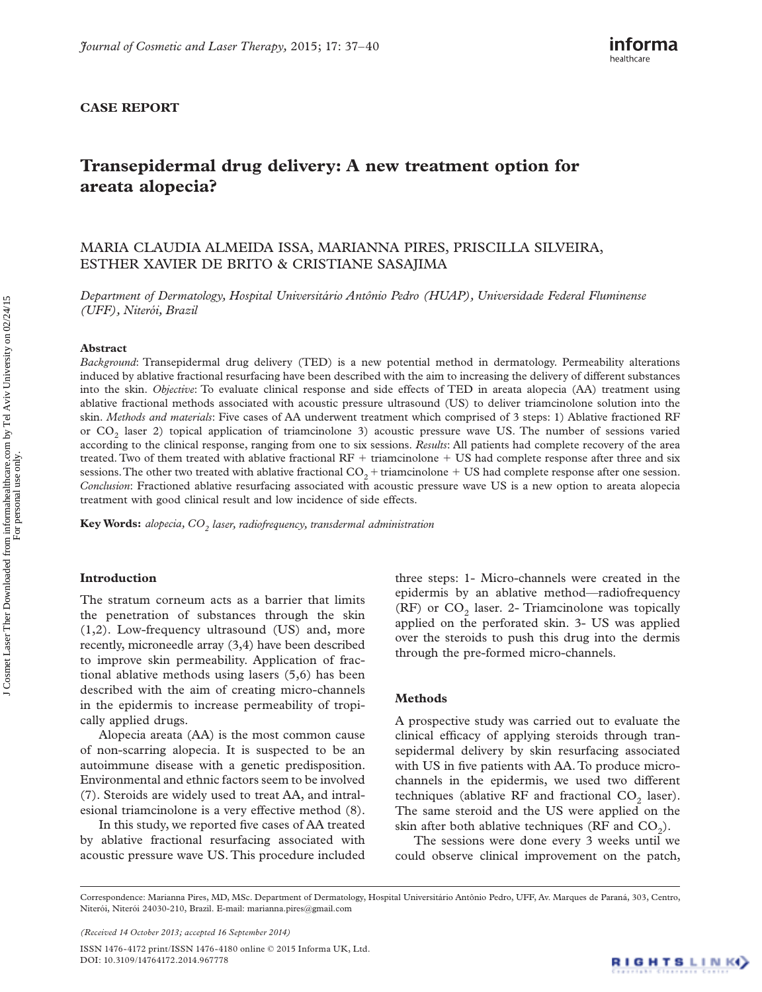# **CASE REPORT**

# **Transepidermal drug delivery: A new treatment option for areata alopecia?**

# MARIA CLAUDIA ALMEIDA ISSA , MARIANNA PIRES , PRISCILLA SILVEIRA , ESTHER XAVIER DE BRITO & CRISTIANE SASAJIMA

*Department of Dermatology, Hospital Universit á rio Ant ô nio Pedro (HUAP), Universidade Federal Fluminense (UFF), Niter ó i, Brazil* 

#### **Abstract**

*Background*: Transepidermal drug delivery (TED) is a new potential method in dermatology. Permeability alterations induced by ablative fractional resurfacing have been described with the aim to increasing the delivery of different substances into the skin. *Objective*: To evaluate clinical response and side effects of TED in areata alopecia (AA) treatment using ablative fractional methods associated with acoustic pressure ultrasound (US) to deliver triamcinolone solution into the skin. *Methods and materials*: Five cases of AA underwent treatment which comprised of 3 steps: 1) Ablative fractioned RF or CO<sub>2</sub> laser 2) topical application of triamcinolone 3) acoustic pressure wave US. The number of sessions varied according to the clinical response, ranging from one to six sessions. *Results*: All patients had complete recovery of the area treated. Two of them treated with ablative fractional  $RF +$  triamcinolone  $+$  US had complete response after three and six sessions. The other two treated with ablative fractional  $CO_2$  + triamcinolone + US had complete response after one session. *Conclusion*: Fractioned ablative resurfacing associated with acoustic pressure wave US is a new option to areata alopecia treatment with good clinical result and low incidence of side effects.

Key Words: *alopecia, CO<sub>2</sub> laser, radiofrequency, transdermal administration* 

#### **Introduction**

The stratum corneum acts as a barrier that limits the penetration of substances through the skin (1,2). Low-frequency ultrasound (US) and, more recently, microneedle array (3,4) have been described to improve skin permeability. Application of fractional ablative methods using lasers (5,6) has been described with the aim of creating micro-channels in the epidermis to increase permeability of tropically applied drugs.

Alopecia areata (AA) is the most common cause of non-scarring alopecia. It is suspected to be an autoimmune disease with a genetic predisposition. Environmental and ethnic factors seem to be involved (7). Steroids are widely used to treat AA, and intralesional triamcinolone is a very effective method (8).

In this study, we reported five cases of AA treated by ablative fractional resurfacing associated with acoustic pressure wave US. This procedure included three steps: 1- Micro-channels were created in the epidermis by an ablative method-radiofrequency  $(RF)$  or  $CO<sub>2</sub>$  laser. 2- Triamcinolone was topically applied on the perforated skin. 3- US was applied over the steroids to push this drug into the dermis through the pre-formed micro-channels.

## **Methods**

A prospective study was carried out to evaluate the clinical efficacy of applying steroids through transepidermal delivery by skin resurfacing associated with US in five patients with AA. To produce microchannels in the epidermis, we used two different techniques (ablative RF and fractional  $CO<sub>2</sub>$  laser). The same steroid and the US were applied on the skin after both ablative techniques (RF and  $CO<sub>2</sub>$ ).

The sessions were done every 3 weeks until we could observe clinical improvement on the patch,

ISSN 1476-4172 print/ISSN 1476-4180 online © 2015 Informa UK, Ltd. DOI: 10.3109/14764172.2014.967778

Correspondence: Marianna Pires, MD, MSc. Department of Dermatology, Hospital Universitário Antônio Pedro, UFF, Av. Marques de Paraná, 303, Centro, Niterói, Niterói 24030-210, Brazil. E-mail: marianna.pires@gmail.com

*<sup>(</sup>Received 14 October 2013 ; accepted 16 September 2014 )*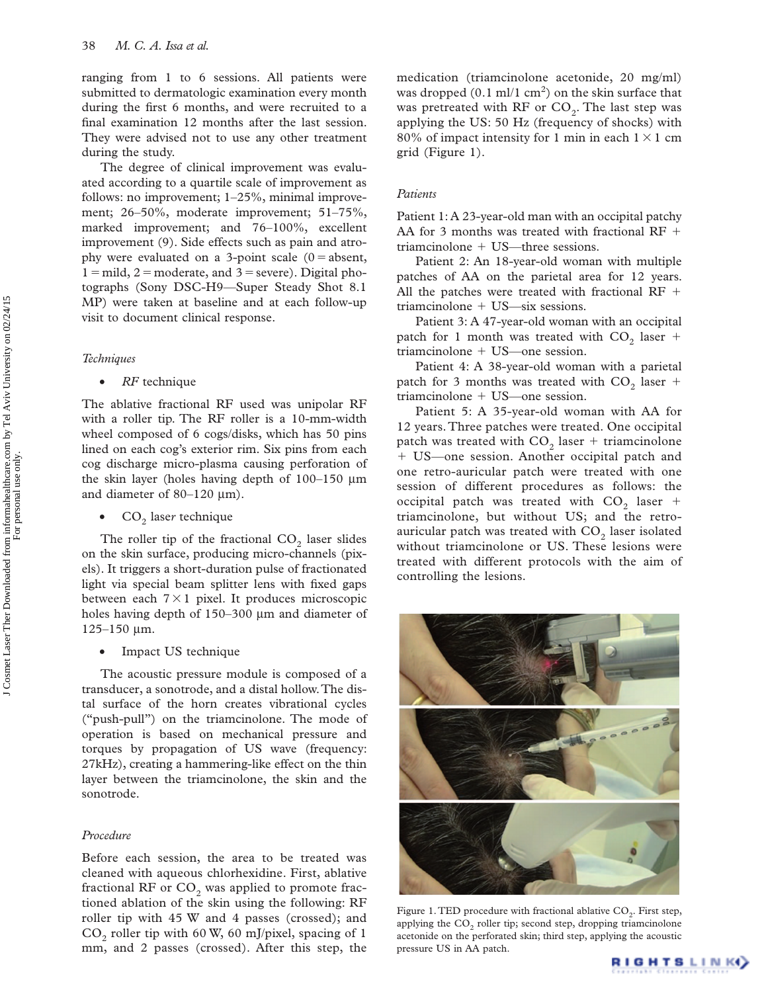ranging from 1 to 6 sessions. All patients were submitted to dermatologic examination every month during the first 6 months, and were recruited to a final examination 12 months after the last session. They were advised not to use any other treatment during the study.

The degree of clinical improvement was evaluated according to a quartile scale of improvement as follows: no improvement;  $1-25\%$ , minimal improvement; 26-50%, moderate improvement; 51-75%, marked improvement; and  $76-100\%$ , excellent improvement (9). Side effects such as pain and atrophy were evaluated on a 3-point scale  $(0 = absent,$  $1 =$  mild,  $2 =$  moderate, and  $3 =$  severe). Digital photographs (Sony DSC-H9-Super Steady Shot 8.1 MP) were taken at baseline and at each follow-up visit to document clinical response.

### *Techniques*

• *RF* technique

The ablative fractional RF used was unipolar RF with a roller tip. The RF roller is a 10-mm-width wheel composed of 6 cogs/disks, which has 50 pins lined on each cog's exterior rim. Six pins from each cog discharge micro-plasma causing perforation of the skin layer (holes having depth of  $100-150 \mu m$ and diameter of  $80-120 \text{ }\mu\text{m}$ ).

CO<sub>2</sub> laser technique

The roller tip of the fractional  $CO<sub>2</sub>$  laser slides on the skin surface, producing micro-channels (pixels). It triggers a short-duration pulse of fractionated light via special beam splitter lens with fixed gaps between each  $7 \times 1$  pixel. It produces microscopic holes having depth of  $150-300 \mu m$  and diameter of  $125 - 150$  µm.

Impact US technique

The acoustic pressure module is composed of a transducer, a sonotrode, and a distal hollow. The distal surface of the horn creates vibrational cycles ("push-pull") on the triamcinolone. The mode of operation is based on mechanical pressure and torques by propagation of US wave (frequency: 27kHz), creating a hammering-like effect on the thin layer between the triamcinolone, the skin and the sonotrode.

#### *Procedure*

Before each session, the area to be treated was cleaned with aqueous chlorhexidine. First, ablative fractional RF or  $CO<sub>2</sub>$  was applied to promote fractioned ablation of the skin using the following: RF roller tip with 45 W and 4 passes (crossed); and  $CO<sub>2</sub>$  roller tip with 60 W, 60 mJ/pixel, spacing of 1 mm, and 2 passes (crossed). After this step, the

medication (triamcinolone acetonide, 20 mg/ml) was dropped  $(0.1 \text{ ml}/1 \text{ cm}^2)$  on the skin surface that was pretreated with RF or  $CO<sub>2</sub>$ . The last step was applying the US: 50 Hz (frequency of shocks) with 80% of impact intensity for 1 min in each  $1 \times 1$  cm grid (Figure 1).

#### *Patients*

Patient 1: A 23-year-old man with an occipital patchy AA for 3 months was treated with fractional RF  $+$ triamcinolone + US—three sessions.

Patient 2: An 18-year-old woman with multiple patches of AA on the parietal area for 12 years. All the patches were treated with fractional RF  $+$ triamcinolone + US—six sessions.

Patient 3: A 47-year-old woman with an occipital patch for 1 month was treated with  $CO_2$  laser + triamcinolone + US—one session.

Patient 4: A 38-year-old woman with a parietal patch for 3 months was treated with  $CO_2$  laser + triamcinolone + US—one session.

Patient 5: A 35-year-old woman with AA for 12 years. Three patches were treated. One occipital patch was treated with  $CO_2$  laser + triamcinolone + US-one session. Another occipital patch and one retro-auricular patch were treated with one session of different procedures as follows: the occipital patch was treated with  $CO_2$  laser + triamcinolone, but without US; and the retroauricular patch was treated with  $CO<sub>2</sub>$  laser isolated without triamcinolone or US. These lesions were treated with different protocols with the aim of controlling the lesions.



Figure 1. TED procedure with fractional ablative  $CO<sub>2</sub>$ . First step, applying the  $CO<sub>2</sub>$  roller tip; second step, dropping triamcinolone acetonide on the perforated skin; third step, applying the acoustic pressure US in AA patch.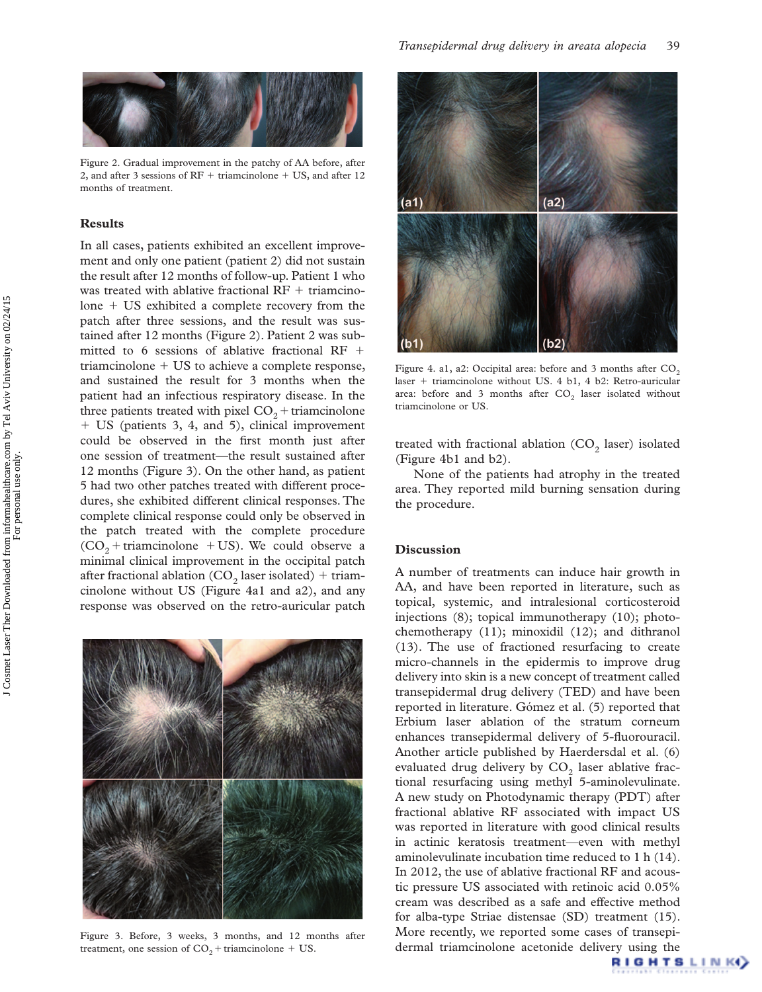

Figure 2.Gradual improvement in the patchy of AA before, after 2, and after 3 sessions of  $RF +$  triamcinolone  $+$  US, and after 12 months of treatment.

#### **Results**

In all cases, patients exhibited an excellent improvement and only one patient (patient 2) did not sustain the result after 12 months of follow-up. Patient 1 who was treated with ablative fractional  $RF +$  triamcinolone + US exhibited a complete recovery from the patch after three sessions, and the result was sustained after 12 months (Figure 2). Patient 2 was submitted to 6 sessions of ablative fractional RF  $+$ triamcinolone + US to achieve a complete response, and sustained the result for 3 months when the patient had an infectious respiratory disease. In the three patients treated with pixel  $CO_2$  + triamcinolone - US (patients 3, 4, and 5), clinical improvement could be observed in the first month just after one session of treatment-the result sustained after 12 months (Figure 3). On the other hand, as patient 5 had two other patches treated with different procedures, she exhibited different clinical responses. The complete clinical response could only be observed in the patch treated with the complete procedure  $(CO_2 + \text{triamcinolone } + US)$ . We could observe a minimal clinical improvement in the occipital patch after fractional ablation (CO<sub>2</sub> laser isolated) + triamcinolone without US (Figure 4a1 and a2), and any response was observed on the retro-auricular patch



Figure 3.Before, 3 weeks, 3 months, and 12 months after treatment, one session of  $CO_2$  + triamcinolone + US.



Figure 4. a1, a2: Occipital area: before and 3 months after  $CO<sub>2</sub>$ laser + triamcinolone without US. 4 b1, 4 b2: Retro-auricular area: before and 3 months after  $CO<sub>2</sub>$  laser isolated without triamcinolone or US.

treated with fractional ablation  $(CO_2)$  laser) isolated (Figure 4b1 and b2).

None of the patients had atrophy in the treated area. They reported mild burning sensation during the procedure.

## **Discussion**

A number of treatments can induce hair growth in AA, and have been reported in literature, such as topical, systemic, and intralesional corticosteroid injections (8); topical immunotherapy (10); photochemotherapy (11); minoxidil (12); and dithranol (13). The use of fractioned resurfacing to create micro-channels in the epidermis to improve drug delivery into skin is a new concept of treatment called transepidermal drug delivery (TED) and have been reported in literature. Gómez et al. (5) reported that Erbium laser ablation of the stratum corneum enhances transepidermal delivery of 5-fluorouracil. Another article published by Haerdersdal et al. (6) evaluated drug delivery by  $CO<sub>2</sub>$  laser ablative fractional resurfacing using methyl 5-aminolevulinate. A new study on Photodynamic therapy (PDT) after fractional ablative RF associated with impact US was reported in literature with good clinical results in actinic keratosis treatment—even with methyl aminolevulinate incubation time reduced to 1 h (14). In 2012, the use of ablative fractional RF and acoustic pressure US associated with retinoic acid 0.05% cream was described as a safe and effective method for alba-type Striae distensae (SD) treatment (15). More recently, we reported some cases of transepidermal triamcinolone acetonide delivery using the